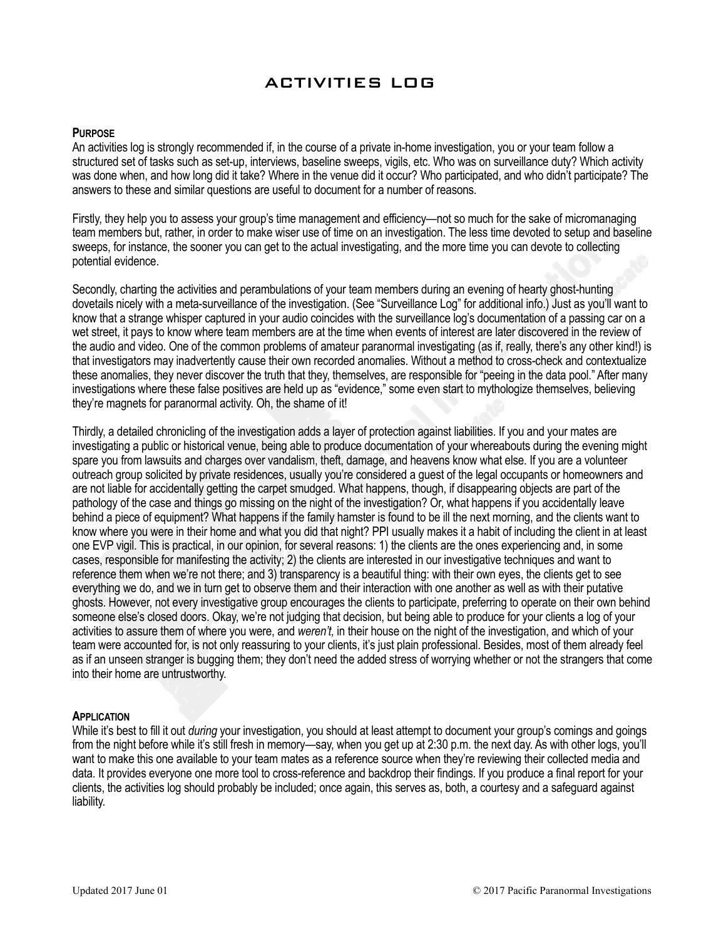# ACTIVITIES LOG

#### **PURPOSE**

An activities log is strongly recommended if, in the course of a private in-home investigation, you or your team follow a structured set of tasks such as set-up, interviews, baseline sweeps, vigils, etc. Who was on surveillance duty? Which activity was done when, and how long did it take? Where in the venue did it occur? Who participated, and who didn't participate? The answers to these and similar questions are useful to document for a number of reasons.

Firstly, they help you to assess your group's time management and efficiency—not so much for the sake of micromanaging team members but, rather, in order to make wiser use of time on an investigation. The less time devoted to setup and baseline sweeps, for instance, the sooner you can get to the actual investigating, and the more time you can devote to collecting potential evidence.

Secondly, charting the activities and perambulations of your team members during an evening of hearty ghost-hunting dovetails nicely with a meta-surveillance of the investigation. (See "Surveillance Log" for additional info.) Just as you'll want to know that a strange whisper captured in your audio coincides with the surveillance log's documentation of a passing car on a wet street, it pays to know where team members are at the time when events of interest are later discovered in the review of the audio and video. One of the common problems of amateur paranormal investigating (as if, really, there's any other kind!) is that investigators may inadvertently cause their own recorded anomalies. Without a method to cross-check and contextualize these anomalies, they never discover the truth that they, themselves, are responsible for "peeing in the data pool." After many investigations where these false positives are held up as "evidence," some even start to mythologize themselves, believing they're magnets for paranormal activity. Oh, the shame of it!

Thirdly, a detailed chronicling of the investigation adds a layer of protection against liabilities. If you and your mates are investigating a public or historical venue, being able to produce documentation of your whereabouts during the evening might spare you from lawsuits and charges over vandalism, theft, damage, and heavens know what else. If you are a volunteer outreach group solicited by private residences, usually you're considered a guest of the legal occupants or homeowners and are not liable for accidentally getting the carpet smudged. What happens, though, if disappearing objects are part of the pathology of the case and things go missing on the night of the investigation? Or, what happens if you accidentally leave behind a piece of equipment? What happens if the family hamster is found to be ill the next morning, and the clients want to know where you were in their home and what you did that night? PPI usually makes it a habit of including the client in at least one EVP vigil. This is practical, in our opinion, for several reasons: 1) the clients are the ones experiencing and, in some cases, responsible for manifesting the activity; 2) the clients are interested in our investigative techniques and want to reference them when we're not there; and 3) transparency is a beautiful thing: with their own eyes, the clients get to see everything we do, and we in turn get to observe them and their interaction with one another as well as with their putative ghosts. However, not every investigative group encourages the clients to participate, preferring to operate on their own behind someone else's closed doors. Okay, we're not judging that decision, but being able to produce for your clients a log of your activities to assure them of where you were, and *weren't,* in their house on the night of the investigation, and which of your team were accounted for, is not only reassuring to your clients, it's just plain professional. Besides, most of them already feel as if an unseen stranger is bugging them; they don't need the added stress of worrying whether or not the strangers that come into their home are untrustworthy.

#### **APPLICATION**

While it's best to fill it out *during* your investigation, you should at least attempt to document your group's comings and goings from the night before while it's still fresh in memory—say, when you get up at 2:30 p.m. the next day. As with other logs, you'll want to make this one available to your team mates as a reference source when they're reviewing their collected media and data. It provides everyone one more tool to cross-reference and backdrop their findings. If you produce a final report for your clients, the activities log should probably be included; once again, this serves as, both, a courtesy and a safeguard against liability.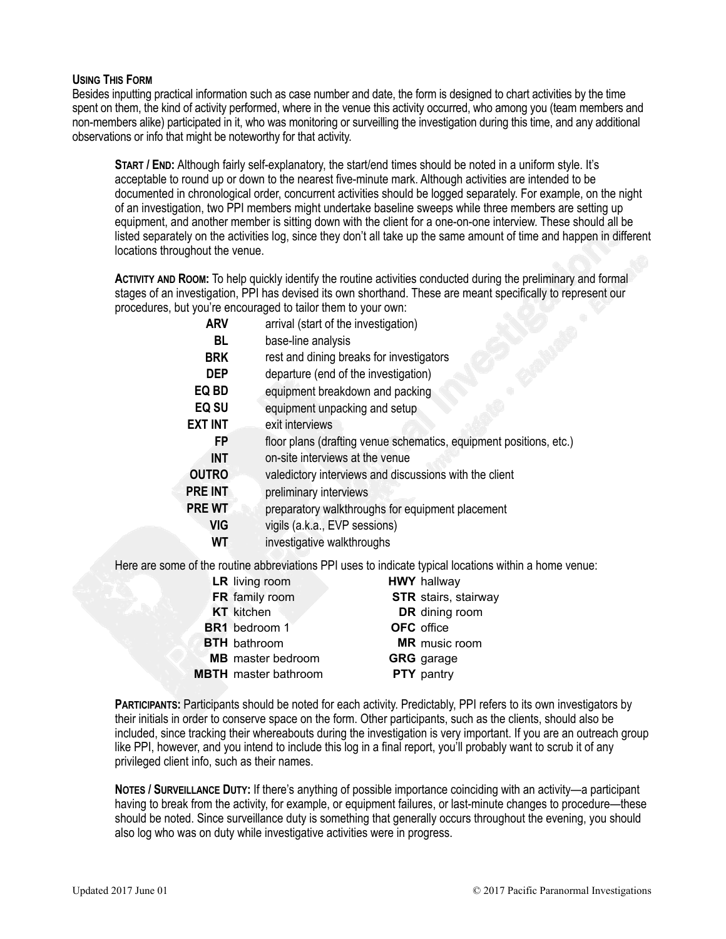### **USING THIS FORM**

Besides inputting practical information such as case number and date, the form is designed to chart activities by the time spent on them, the kind of activity performed, where in the venue this activity occurred, who among you (team members and non-members alike) participated in it, who was monitoring or surveilling the investigation during this time, and any additional observations or info that might be noteworthy for that activity.

**START / END:** Although fairly self-explanatory, the start/end times should be noted in a uniform style. It's acceptable to round up or down to the nearest five-minute mark. Although activities are intended to be documented in chronological order, concurrent activities should be logged separately. For example, on the night of an investigation, two PPI members might undertake baseline sweeps while three members are setting up equipment, and another member is sitting down with the client for a one-on-one interview. These should all be listed separately on the activities log, since they don't all take up the same amount of time and happen in different locations throughout the venue.

**ACTIVITY AND ROOM:** To help quickly identify the routine activities conducted during the preliminary and formal stages of an investigation, PPI has devised its own shorthand. These are meant specifically to represent our procedures, but you're encouraged to tailor them to your own:

| <b>ARV</b>     | arrival (start of the investigation)                               |  |  |  |
|----------------|--------------------------------------------------------------------|--|--|--|
| BL             | base-line analysis                                                 |  |  |  |
| <b>BRK</b>     | rest and dining breaks for investigators                           |  |  |  |
| <b>DEP</b>     | departure (end of the investigation)                               |  |  |  |
| EQ BD          | equipment breakdown and packing                                    |  |  |  |
| EQ SU          | equipment unpacking and setup                                      |  |  |  |
| <b>EXT INT</b> | exit interviews                                                    |  |  |  |
| FP             | floor plans (drafting venue schematics, equipment positions, etc.) |  |  |  |
| <b>INT</b>     | on-site interviews at the venue                                    |  |  |  |
| <b>OUTRO</b>   | valedictory interviews and discussions with the client             |  |  |  |
| PRE INT        | preliminary interviews                                             |  |  |  |
| <b>PRE WT</b>  | preparatory walkthroughs for equipment placement                   |  |  |  |
| VIG            | vigils (a.k.a., EVP sessions)                                      |  |  |  |
| WТ             | investigative walkthroughs                                         |  |  |  |
|                |                                                                    |  |  |  |

Here are some of the routine abbreviations PPI uses to indicate typical locations within a home venue:

| <b>LR</b> living room       | <b>HWY</b> hallway          |
|-----------------------------|-----------------------------|
| FR family room              | <b>STR</b> stairs, stairway |
| <b>KT</b> kitchen           | DR dining room              |
| BR1 bedroom 1               | <b>OFC</b> office           |
| <b>BTH</b> bathroom         | <b>MR</b> music room        |
| <b>MB</b> master bedroom    | <b>GRG</b> garage           |
| <b>MBTH</b> master bathroom | <b>PTY</b> pantry           |
|                             |                             |

**PARTICIPANTS:** Participants should be noted for each activity. Predictably, PPI refers to its own investigators by their initials in order to conserve space on the form. Other participants, such as the clients, should also be included, since tracking their whereabouts during the investigation is very important. If you are an outreach group like PPI, however, and you intend to include this log in a final report, you'll probably want to scrub it of any privileged client info, such as their names.

**NOTES / SURVEILLANCE DUTY:** If there's anything of possible importance coinciding with an activity—a participant having to break from the activity, for example, or equipment failures, or last-minute changes to procedure—these should be noted. Since surveillance duty is something that generally occurs throughout the evening, you should also log who was on duty while investigative activities were in progress.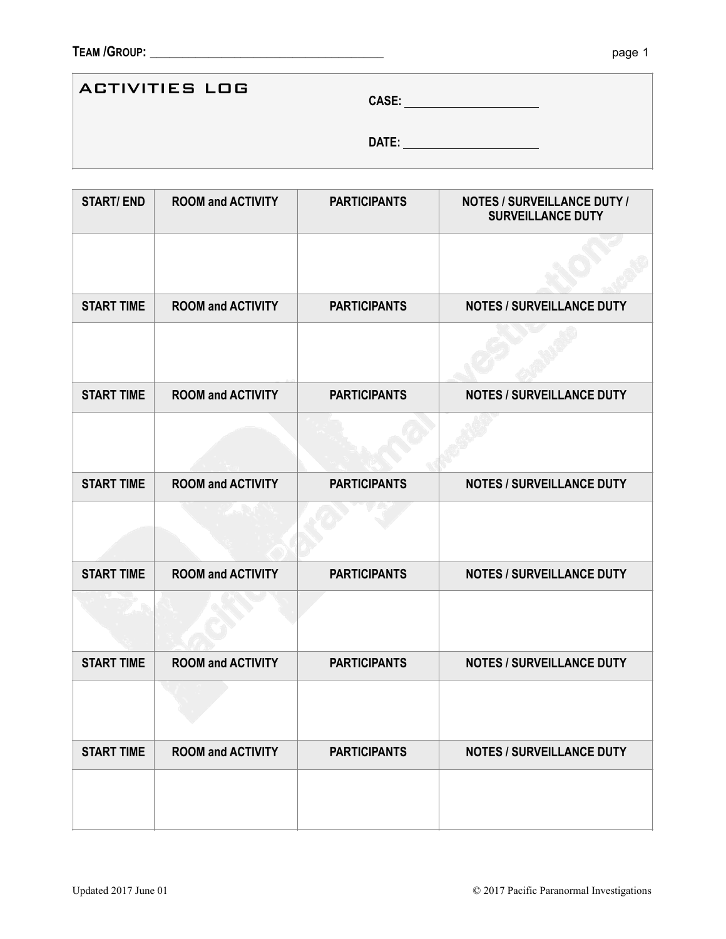## ACTIVITIES LOG

**CASE:** 

**DATE:** 

| <b>START/END</b>  | <b>ROOM and ACTIVITY</b> | <b>PARTICIPANTS</b> | <b>NOTES / SURVEILLANCE DUTY /</b><br><b>SURVEILLANCE DUTY</b> |
|-------------------|--------------------------|---------------------|----------------------------------------------------------------|
|                   |                          |                     |                                                                |
| <b>START TIME</b> | <b>ROOM and ACTIVITY</b> | <b>PARTICIPANTS</b> | <b>NOTES / SURVEILLANCE DUTY</b>                               |
|                   |                          |                     |                                                                |
| <b>START TIME</b> | <b>ROOM and ACTIVITY</b> | <b>PARTICIPANTS</b> | <b>NOTES / SURVEILLANCE DUTY</b>                               |
|                   |                          |                     |                                                                |
| <b>START TIME</b> | <b>ROOM and ACTIVITY</b> | <b>PARTICIPANTS</b> | <b>NOTES / SURVEILLANCE DUTY</b>                               |
|                   |                          |                     |                                                                |
| <b>START TIME</b> | <b>ROOM and ACTIVITY</b> | <b>PARTICIPANTS</b> | <b>NOTES / SURVEILLANCE DUTY</b>                               |
|                   |                          |                     |                                                                |
| <b>START TIME</b> | <b>ROOM and ACTIVITY</b> | <b>PARTICIPANTS</b> | <b>NOTES / SURVEILLANCE DUTY</b>                               |
|                   |                          |                     |                                                                |
| <b>START TIME</b> | <b>ROOM and ACTIVITY</b> | <b>PARTICIPANTS</b> | <b>NOTES / SURVEILLANCE DUTY</b>                               |
|                   |                          |                     |                                                                |